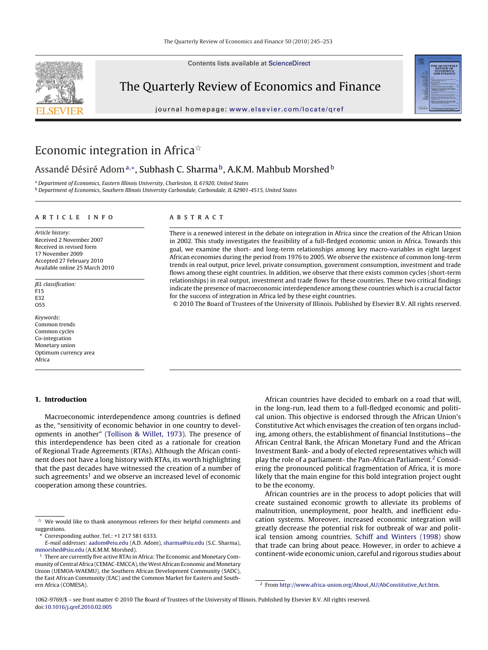Contents lists available at [ScienceDirect](http://www.sciencedirect.com/science/journal/10629769)

## The Quarterly Review of Economics and Finance

journal homepage: [www.elsevier.com/locate/qref](http://www.elsevier.com/locate/qref)



## Economic integration in Africa $\dot{\tilde{\mathbf{x}}}$

Assandé Désiré Adom<sup>a,</sup>\*, Subhash C. Sharma<sup>b</sup>, A.K.M. Mahbub Morshed<sup>b</sup>

<sup>a</sup> Department of Economics, Eastern Illinois University, Charleston, IL 61920, United States <sup>b</sup> Department of Economics, Southern Illinois University Carbondale, Carbondale, IL 62901-4515, United States

#### article info

Article history: Received 2 November 2007 Received in revised form 17 November 2009 Accepted 27 February 2010 Available online 25 March 2010

JEL classification: F15 E32 O55

Keywords: Common trends Common cycles Co-integration Monetary union Optimum currency area Africa

#### **1. Introduction**

Macroeconomic interdependence among countries is defined as the, "sensitivity of economic behavior in one country to developments in another" [\(Tollison & Willet, 1973\).](#page--1-0) The presence of this interdependence has been cited as a rationale for creation of Regional Trade Agreements (RTAs). Although the African continent does not have a long history with RTAs, its worth highlighting that the past decades have witnessed the creation of a number of such agreements<sup>1</sup> and we observe an increased level of economic cooperation among these countries.

### A B S T R A C T

There is a renewed interest in the debate on integration in Africa since the creation of the African Union in 2002. This study investigates the feasibility of a full-fledged economic union in Africa. Towards this goal, we examine the short- and long-term relationships among key macro-variables in eight largest African economies during the period from 1976 to 2005. We observe the existence of common long-term trends in real output, price level, private consumption, government consumption, investment and trade flows among these eight countries. In addition, we observe that there exists common cycles (short-term relationships) in real output, investment and trade flows for these countries. These two critical findings indicate the presence of macroeconomic interdependence among these countries which is a crucial factor for the success of integration in Africa led by these eight countries.

© 2010 The Board of Trustees of the University of Illinois. Published by Elsevier B.V. All rights reserved.

African countries have decided to embark on a road that will, in the long-run, lead them to a full-fledged economic and political union. This objective is endorsed through the African Union's Constitutive Act which envisages the creation of ten organs including, among others, the establishment of financial Institutions—the African Central Bank, the African Monetary Fund and the African Investment Bank- and a body of elected representatives which will play the role of a parliament- the Pan-African Parliament.<sup>2</sup> Considering the pronounced political fragmentation of Africa, it is more likely that the main engine for this bold integration project ought to be the economy.

African countries are in the process to adopt policies that will create sustained economic growth to alleviate its problems of malnutrition, unemployment, poor health, and inefficient education systems. Moreover, increased economic integration will greatly decrease the potential risk for outbreak of war and political tension among countries. [Schiff and Winters \(1998\)](#page--1-0) show that trade can bring about peace. However, in order to achieve a continent-wide economic union, careful and rigorous studies about

 $\mathbb{\hat{X}}$  We would like to thank anonymous referees for their helpful comments and suggestions.

<sup>∗</sup> Corresponding author. Tel.: +1 217 581 6333.

E-mail addresses: [aadom@eiu.edu](mailto:aadom@eiu.edu) (A.D. Adom), [sharma@siu.edu](mailto:sharma@siu.edu) (S.C. Sharma), [mmorshed@siu.edu](mailto:mmorshed@siu.edu) (A.K.M.M. Morshed).

<sup>&</sup>lt;sup>1</sup> There are currently five active RTAs in Africa: The Economic and Monetary Community of Central Africa (CEMAC-EMCCA), theWest African Economic and Monetary Union (UEMOA-WAEMU), the Southern African Development Community (SADC), the East African Community (EAC) and the Common Market for Eastern and Southern Africa (COMESA).

<sup>2</sup> From [http://www.africa-union.org/About](http://www.africa-union.org/About_AU/AbConstitutive_Act.htm) AU/AbConstitutive Act.htm.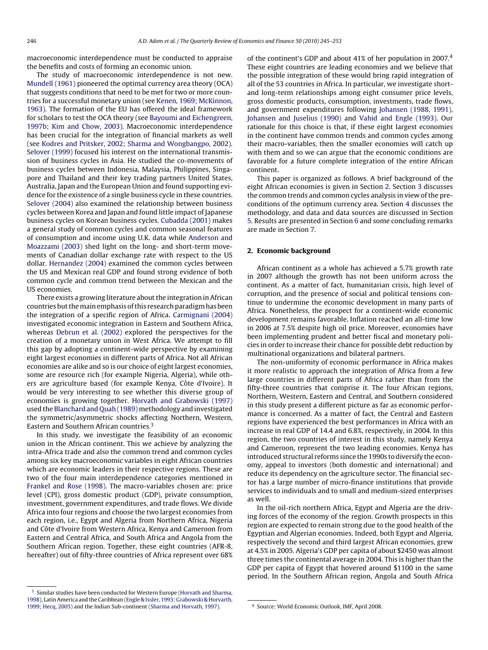macroeconomic interdependence must be conducted to appraise the benefits and costs of forming an economic union.

The study of macroeconomic interdependence is not new. [Mundell \(1961\)](#page--1-0) pioneered the optimal currency area theory (OCA) that suggests conditions that need to be met for two or more countries for a successful monetary union (see [Kenen, 1969; McKinnon,](#page--1-0) [1963\).](#page--1-0) The formation of the EU has offered the ideal framework for scholars to test the OCA theory (see [Bayoumi and Eichengreen,](#page--1-0) [1997b; Kim and Chow, 2003\).](#page--1-0) Macroeconomic interdependence has been crucial for the integration of financial markets as well (see [Kodres and Pritsker, 2002; Sharma and Wongbangpo, 2002\).](#page--1-0) [Selover \(1999\)](#page--1-0) focused his interest on the international transmission of business cycles in Asia. He studied the co-movements of business cycles between Indonesia, Malaysia, Philippines, Singapore and Thailand and their key trading partners United States, Australia, Japan and the European Union and found supporting evidence for the existence of a single business cycle in these countries. [Selover \(2004\)](#page--1-0) also examined the relationship between business cycles between Korea and Japan and found little impact of Japanese business cycles on Korean business cycles. [Cubadda \(2001\)](#page--1-0) makes a general study of common cycles and common seasonal features of consumption and income using U.K. data while [Anderson and](#page--1-0) [Moazzami \(2003\)](#page--1-0) shed light on the long- and short-term movements of Canadian dollar exchange rate with respect to the US dollar. [Hernandez \(2004\)](#page--1-0) examined the common cycles between the US and Mexican real GDP and found strong evidence of both common cycle and common trend between the Mexican and the US economies.

There exists a growing literature about the integration in African countries but themain emphasis of this research paradigm has been the integration of a specific region of Africa. [Carmignani \(2004\)](#page--1-0) investigated economic integration in Eastern and Southern Africa, whereas [Debrun et al. \(2002\)](#page--1-0) explored the perspectives for the creation of a monetary union in West Africa. We attempt to fill this gap by adopting a continent-wide perspective by examining eight largest economies in different parts of Africa. Not all African economies are alike and so is our choice of eight largest economies, some are resource rich (for example Nigeria, Algeria), while others are agriculture based (for example Kenya, Côte d'Ivoire). It would be very interesting to see whether this diverse group of economies is growing together. [Horvath and Grabowski \(1997\)](#page--1-0) used the [Blanchard and Quah \(1989\)](#page--1-0) methodology and investigated the symmetric/asymmetric shocks affecting Northern, Western, Eastern and Southern African countries.3

In this study, we investigate the feasibility of an economic union in the African continent. This we achieve by analyzing the intra-Africa trade and also the common trend and common cycles among six key macroeconomic variables in eight African countries which are economic leaders in their respective regions. These are two of the four main interdependence categories mentioned in [Frankel and Rose \(1998\). T](#page--1-0)he macro-variables chosen are: price level (CPI), gross domestic product (GDP), private consumption, investment, government expenditures, and trade flows. We divide Africa into four regions and choose the two largest economies from each region, i.e., Egypt and Algeria from Northern Africa, Nigeria and Côte d'Ivoire from Western Africa, Kenya and Cameroon from Eastern and Central Africa, and South Africa and Angola from the Southern African region. Together, these eight countries (AFR-8, hereafter) out of fifty-three countries of Africa represent over 68%

<sup>3</sup> Similar studies have been conducted for Western Europe ([Horvath and Sharma,](#page--1-0) [1998\),](#page--1-0) Latin America and the Caribbean ([Engle & Issler, 1993; Grabowski & Horvarth,](#page--1-0) [1999; Hecq, 2005\) a](#page--1-0)nd the Indian Sub-continent ([Sharma and Horvath, 1997\).](#page--1-0)

of the continent's GDP and about 41% of her population in 2007.4 These eight countries are leading economies and we believe that the possible integration of these would bring rapid integration of all of the 53 countries in Africa. In particular, we investigate shortand long-term relationships among eight consumer price levels, gross domestic products, consumption, investments, trade flows, and government expenditures following [Johansen \(1988, 1991\),](#page--1-0) [Johansen and Juselius \(1990\)](#page--1-0) and [Vahid and Engle \(1993\).](#page--1-0) Our rationale for this choice is that, if these eight largest economies in the continent have common trends and common cycles among their macro-variables, then the smaller economies will catch up with them and so we can argue that the economic conditions are favorable for a future complete integration of the entire African continent.

This paper is organized as follows. A brief background of the eight African economies is given in Section 2. Section [3](#page--1-0) discusses the common trends and common cycles analysis in view of the preconditions of the optimum currency area. Section [4](#page--1-0) discusses the methodology, and data and data sources are discussed in Section [5. R](#page--1-0)esults are presented in Section [6](#page--1-0) and some concluding remarks are made in Section [7.](#page--1-0)

#### **2. Economic background**

African continent as a whole has achieved a 5.7% growth rate in 2007 although the growth has not been uniform across the continent. As a matter of fact, humanitarian crisis, high level of corruption, and the presence of social and political tensions continue to undermine the economic development in many parts of Africa. Nonetheless, the prospect for a continent-wide economic development remains favorable. Inflation reached an all-time low in 2006 at 7.5% despite high oil price. Moreover, economies have been implementing prudent and better fiscal and monetary policies in order to increase their chance for possible debt reduction by multinational organizations and bilateral partners.

The non-uniformity of economic performance in Africa makes it more realistic to approach the integration of Africa from a few large countries in different parts of Africa rather than from the fifty-three countries that comprise it. The four African regions, Northern, Western, Eastern and Central, and Southern considered in this study present a different picture as far as economic performance is concerned. As a matter of fact, the Central and Eastern regions have experienced the best performances in Africa with an increase in real GDP of 14.4 and 6.8%, respectively, in 2004. In this region, the two countries of interest in this study, namely Kenya and Cameroon, represent the two leading economies. Kenya has introduced structural reforms since the 1990s to diversify the economy, appeal to investors (both domestic and international) and reduce its dependency on the agriculture sector. The financial sector has a large number of micro-finance institutions that provide services to individuals and to small and medium-sized enterprises as well.

In the oil-rich northern Africa, Egypt and Algeria are the driving forces of the economy of the region. Growth prospects in this region are expected to remain strong due to the good health of the Egyptian and Algerian economies. Indeed, both Egypt and Algeria, respectively the second and third largest African economies, grew at 4.5% in 2005. Algeria's GDP per capita of about \$2450 was almost three times the continental average in 2004. This is higher than the GDP per capita of Egypt that hovered around \$1100 in the same period. In the Southern African region, Angola and South Africa

<sup>4</sup> Source: World Economic Outlook, IMF, April 2008.